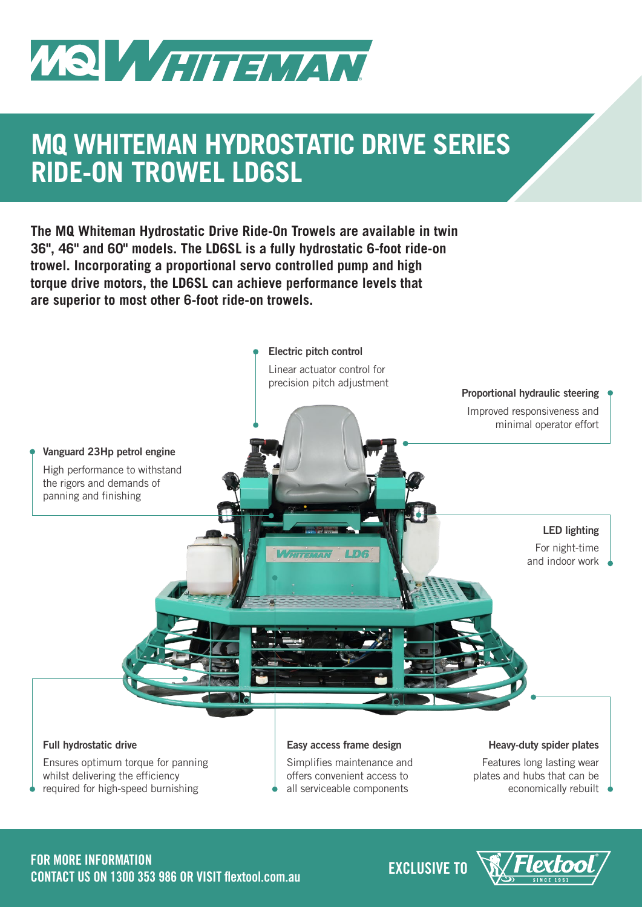

## **MQ WHITEMAN HYDROSTATIC DRIVE SERIES RIDE-ON TROWEL LD6SL**

**The MQ Whiteman Hydrostatic Drive Ride-On Trowels are available in twin 36", 46" and 60" models. The LD6SL is a fully hydrostatic 6-foot ride-on trowel. Incorporating a proportional servo controlled pump and high torque drive motors, the LD6SL can achieve performance levels that are superior to most other 6-foot ride-on trowels.**



# **EXCLUSIVE TO FOR MORE INFORMATION CONTACT US ON 1300 353 986 OR VISIT flextool.com.au**